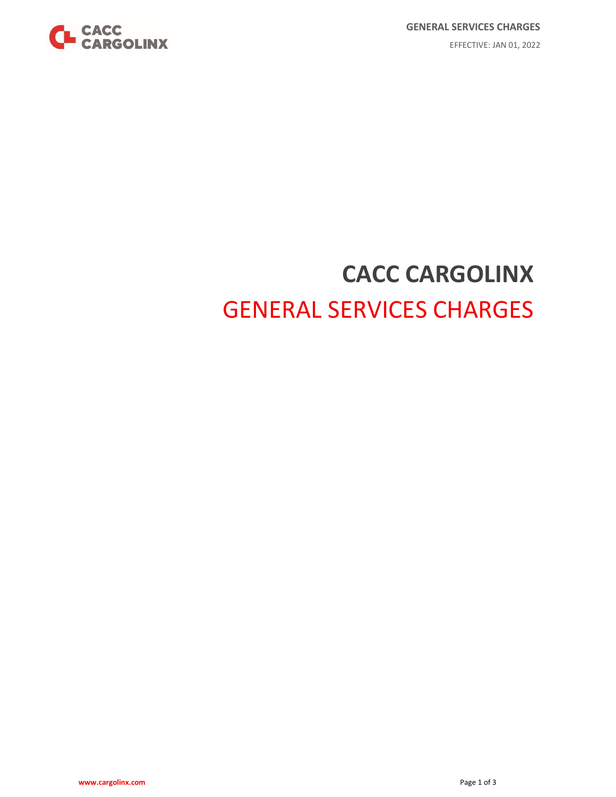

# **CACC CARGOLINX** GENERAL SERVICES CHARGES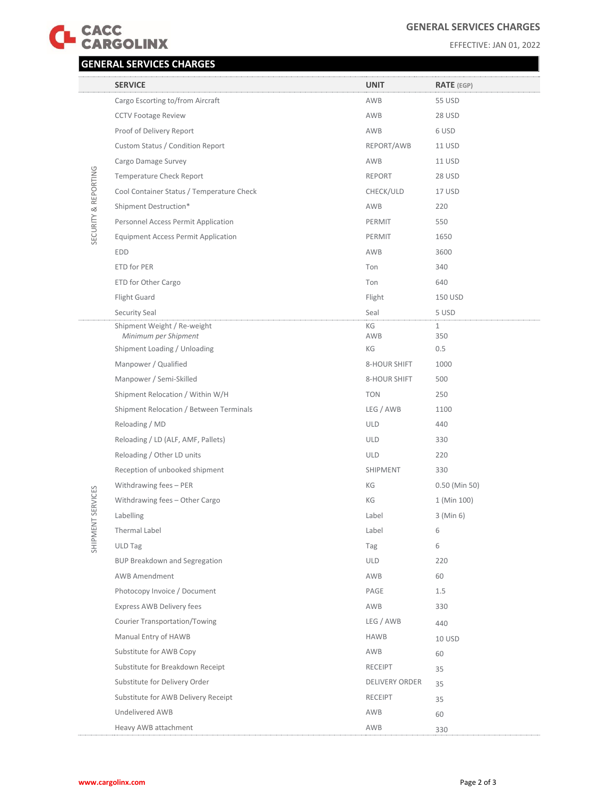

## **GENERAL SERVICES CHARGES**

EFFECTIVE: JAN 01, 2022

## **GENERAL SERVICES CHARGES**

|                      | <b>SERVICE</b>                                      | <b>UNIT</b>           | <b>RATE</b> (EGP)   |
|----------------------|-----------------------------------------------------|-----------------------|---------------------|
|                      | Cargo Escorting to/from Aircraft                    | AWB                   | <b>55 USD</b>       |
|                      | <b>CCTV Footage Review</b>                          | AWB                   | 28 USD              |
|                      | Proof of Delivery Report                            | AWB                   | 6 USD               |
|                      | Custom Status / Condition Report                    | REPORT/AWB            | 11 USD              |
|                      | Cargo Damage Survey                                 | AWB                   | <b>11 USD</b>       |
|                      | Temperature Check Report                            | <b>REPORT</b>         | 28 USD              |
| SECURITY & REPORTING | Cool Container Status / Temperature Check           | CHECK/ULD             | 17 USD              |
|                      | Shipment Destruction*                               | AWB                   | 220                 |
|                      | Personnel Access Permit Application                 | PERMIT                | 550                 |
|                      | <b>Equipment Access Permit Application</b>          | PERMIT                | 1650                |
|                      | <b>EDD</b>                                          | AWB                   | 3600                |
|                      | ETD for PER                                         | Ton                   | 340                 |
|                      | ETD for Other Cargo                                 | Ton                   | 640                 |
|                      | Flight Guard                                        | Flight                | 150 USD             |
|                      | Security Seal                                       | Seal                  | 5 USD               |
|                      | Shipment Weight / Re-weight<br>Minimum per Shipment | KG<br>AWB             | $\mathbf{1}$<br>350 |
|                      | Shipment Loading / Unloading                        | КG                    | 0.5                 |
|                      | Manpower / Qualified                                | 8-HOUR SHIFT          | 1000                |
|                      | Manpower / Semi-Skilled                             | 8-HOUR SHIFT          | 500                 |
|                      | Shipment Relocation / Within W/H                    | <b>TON</b>            | 250                 |
|                      | Shipment Relocation / Between Terminals             | LEG / AWB             | 1100                |
|                      | Reloading / MD                                      | <b>ULD</b>            | 440                 |
|                      | Reloading / LD (ALF, AMF, Pallets)                  | <b>ULD</b>            | 330                 |
|                      | Reloading / Other LD units                          | <b>ULD</b>            | 220                 |
|                      | Reception of unbooked shipment                      | SHIPMENT              | 330                 |
|                      | Withdrawing fees - PER                              | КG                    | $0.50$ (Min 50)     |
| SHIPMENT SERVICES    | Withdrawing fees - Other Cargo                      | КG                    | 1 (Min 100)         |
|                      | Labelling                                           | Label                 | $3$ (Min 6)         |
|                      | Thermal Label                                       | Label                 | 6                   |
|                      | <b>ULD Tag</b>                                      | Tag                   | 6                   |
|                      | <b>BUP Breakdown and Segregation</b>                | <b>ULD</b>            | 220                 |
|                      | <b>AWB Amendment</b>                                | AWB                   | 60                  |
|                      | Photocopy Invoice / Document                        | PAGE                  | 1.5                 |
|                      | Express AWB Delivery fees                           | AWB                   | 330                 |
|                      | <b>Courier Transportation/Towing</b>                | LEG / AWB             | 440                 |
|                      | Manual Entry of HAWB                                | <b>HAWB</b>           | 10 USD              |
|                      | Substitute for AWB Copy                             | AWB                   | 60                  |
|                      | Substitute for Breakdown Receipt                    | <b>RECEIPT</b>        | 35                  |
|                      | Substitute for Delivery Order                       | <b>DELIVERY ORDER</b> | 35                  |
|                      | Substitute for AWB Delivery Receipt                 | <b>RECEIPT</b>        | 35                  |
|                      | Undelivered AWB                                     | AWB                   | 60                  |
|                      | Heavy AWB attachment                                | AWB                   | 330                 |